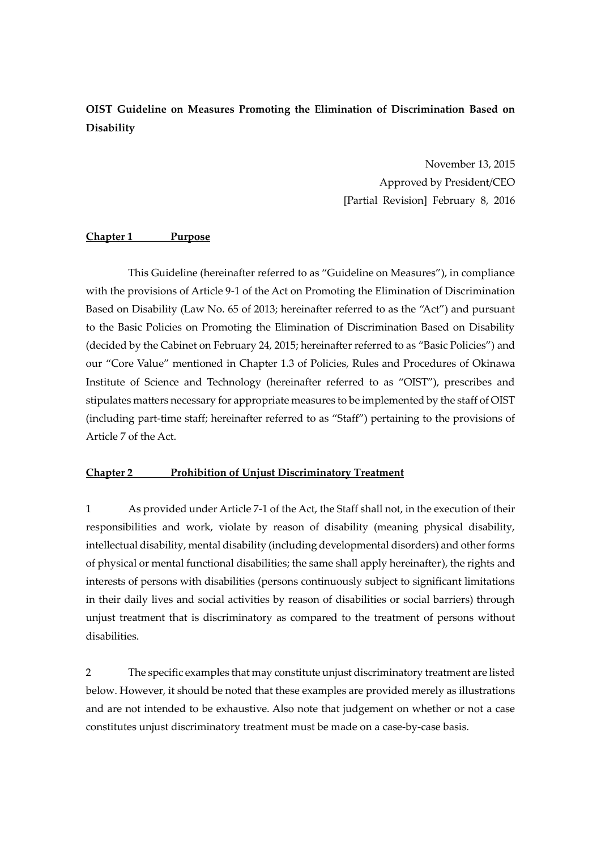**OIST Guideline on Measures Promoting the Elimination of Discrimination Based on Disability**

> November 13, 2015 Approved by President/CEO [Partial Revision] February 8, 2016

#### **Chapter 1 Purpose**

This Guideline (hereinafter referred to as "Guideline on Measures"), in compliance with the provisions of Article 9-1 of the Act on Promoting the Elimination of Discrimination Based on Disability (Law No. 65 of 2013; hereinafter referred to as the "Act") and pursuant to the Basic Policies on Promoting the Elimination of Discrimination Based on Disability (decided by the Cabinet on February 24, 2015; hereinafter referred to as "Basic Policies") and our "Core Value" mentioned in Chapter 1.3 of Policies, Rules and Procedures of Okinawa Institute of Science and Technology (hereinafter referred to as "OIST"), prescribes and stipulates matters necessary for appropriate measures to be implemented by the staff of OIST (including part-time staff; hereinafter referred to as "Staff") pertaining to the provisions of Article 7 of the Act.

#### **Chapter 2 Prohibition of Unjust Discriminatory Treatment**

1 As provided under Article 7-1 of the Act, the Staff shall not, in the execution of their responsibilities and work, violate by reason of disability (meaning physical disability, intellectual disability, mental disability (including developmental disorders) and other forms of physical or mental functional disabilities; the same shall apply hereinafter), the rights and interests of persons with disabilities (persons continuously subject to significant limitations in their daily lives and social activities by reason of disabilities or social barriers) through unjust treatment that is discriminatory as compared to the treatment of persons without disabilities.

2 The specific examples that may constitute unjust discriminatory treatment are listed below. However, it should be noted that these examples are provided merely as illustrations and are not intended to be exhaustive. Also note that judgement on whether or not a case constitutes unjust discriminatory treatment must be made on a case-by-case basis.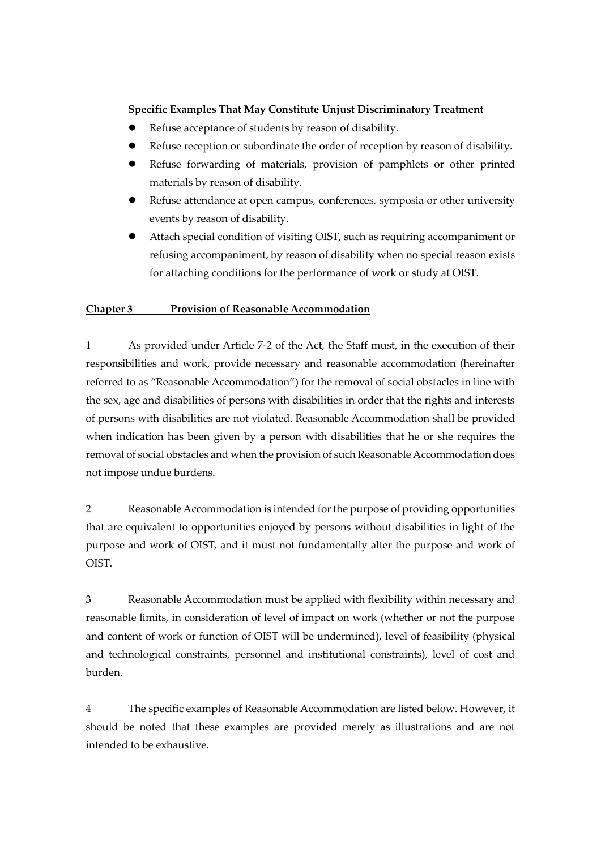## **Specific Examples That May Constitute Unjust Discriminatory Treatment**

- Refuse acceptance of students by reason of disability.
- Refuse reception or subordinate the order of reception by reason of disability.
- Refuse forwarding of materials, provision of pamphlets or other printed materials by reason of disability.
- Refuse attendance at open campus, conferences, symposia or other university events by reason of disability.
- Attach special condition of visiting OIST, such as requiring accompaniment or refusing accompaniment, by reason of disability when no special reason exists for attaching conditions for the performance of work or study at OIST.

# **Chapter 3 Provision of Reasonable Accommodation**

1 As provided under Article 7-2 of the Act, the Staff must, in the execution of their responsibilities and work, provide necessary and reasonable accommodation (hereinafter referred to as "Reasonable Accommodation") for the removal of social obstacles in line with the sex, age and disabilities of persons with disabilities in order that the rights and interests of persons with disabilities are not violated. Reasonable Accommodation shall be provided when indication has been given by a person with disabilities that he or she requires the removal of social obstacles and when the provision of such Reasonable Accommodation does not impose undue burdens.

2 Reasonable Accommodation is intended for the purpose of providing opportunities that are equivalent to opportunities enjoyed by persons without disabilities in light of the purpose and work of OIST, and it must not fundamentally alter the purpose and work of OIST.

3 Reasonable Accommodation must be applied with flexibility within necessary and reasonable limits, in consideration of level of impact on work (whether or not the purpose and content of work or function of OIST will be undermined), level of feasibility (physical and technological constraints, personnel and institutional constraints), level of cost and burden.

4 The specific examples of Reasonable Accommodation are listed below. However, it should be noted that these examples are provided merely as illustrations and are not intended to be exhaustive.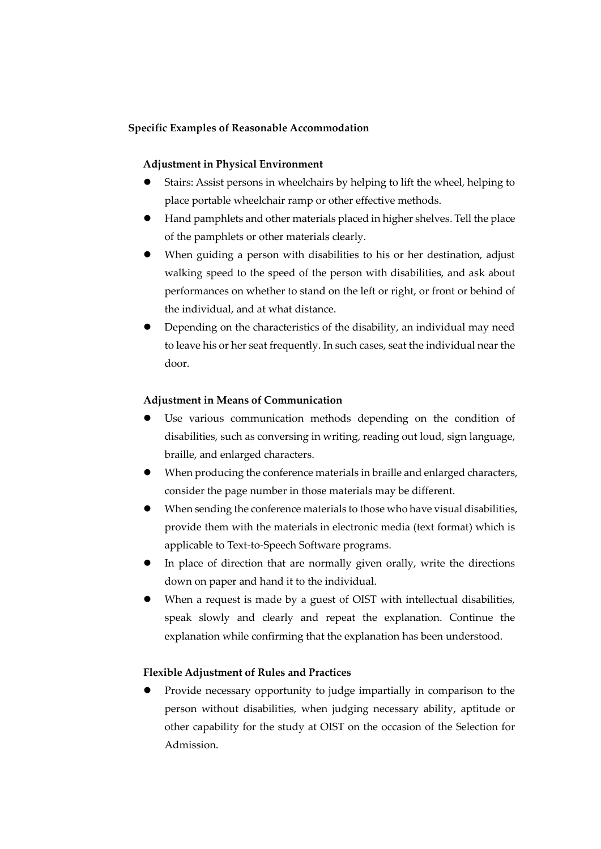## **Specific Examples of Reasonable Accommodation**

### **Adjustment in Physical Environment**

- Stairs: Assist persons in wheelchairs by helping to lift the wheel, helping to place portable wheelchair ramp or other effective methods.
- Hand pamphlets and other materials placed in higher shelves. Tell the place of the pamphlets or other materials clearly.
- When guiding a person with disabilities to his or her destination, adjust walking speed to the speed of the person with disabilities, and ask about performances on whether to stand on the left or right, or front or behind of the individual, and at what distance.
- Depending on the characteristics of the disability, an individual may need to leave his or her seat frequently. In such cases, seat the individual near the door.

### **Adjustment in Means of Communication**

- Use various communication methods depending on the condition of disabilities, such as conversing in writing, reading out loud, sign language, braille, and enlarged characters.
- When producing the conference materials in braille and enlarged characters, consider the page number in those materials may be different.
- When sending the conference materials to those who have visual disabilities, provide them with the materials in electronic media (text format) which is applicable to Text-to-Speech Software programs.
- In place of direction that are normally given orally, write the directions down on paper and hand it to the individual.
- When a request is made by a guest of OIST with intellectual disabilities, speak slowly and clearly and repeat the explanation. Continue the explanation while confirming that the explanation has been understood.

# **Flexible Adjustment of Rules and Practices**

 Provide necessary opportunity to judge impartially in comparison to the person without disabilities, when judging necessary ability, aptitude or other capability for the study at OIST on the occasion of the Selection for Admission.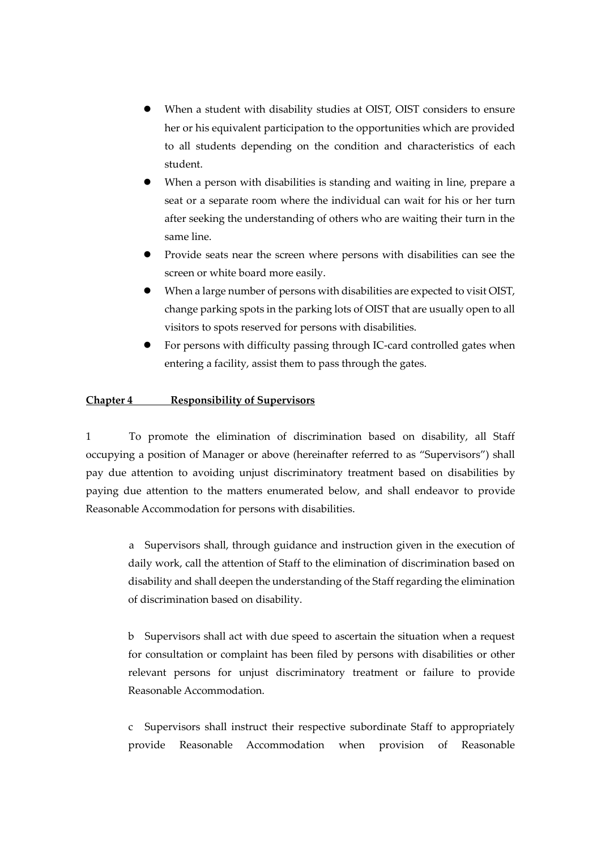- When a student with disability studies at OIST, OIST considers to ensure her or his equivalent participation to the opportunities which are provided to all students depending on the condition and characteristics of each student.
- When a person with disabilities is standing and waiting in line, prepare a seat or a separate room where the individual can wait for his or her turn after seeking the understanding of others who are waiting their turn in the same line.
- Provide seats near the screen where persons with disabilities can see the screen or white board more easily.
- When a large number of persons with disabilities are expected to visit OIST, change parking spots in the parking lots of OIST that are usually open to all visitors to spots reserved for persons with disabilities.
- For persons with difficulty passing through IC-card controlled gates when entering a facility, assist them to pass through the gates.

# **Chapter 4 Responsibility of Supervisors**

1 To promote the elimination of discrimination based on disability, all Staff occupying a position of Manager or above (hereinafter referred to as "Supervisors") shall pay due attention to avoiding unjust discriminatory treatment based on disabilities by paying due attention to the matters enumerated below, and shall endeavor to provide Reasonable Accommodation for persons with disabilities.

a Supervisors shall, through guidance and instruction given in the execution of daily work, call the attention of Staff to the elimination of discrimination based on disability and shall deepen the understanding of the Staff regarding the elimination of discrimination based on disability.

b Supervisors shall act with due speed to ascertain the situation when a request for consultation or complaint has been filed by persons with disabilities or other relevant persons for unjust discriminatory treatment or failure to provide Reasonable Accommodation.

c Supervisors shall instruct their respective subordinate Staff to appropriately provide Reasonable Accommodation when provision of Reasonable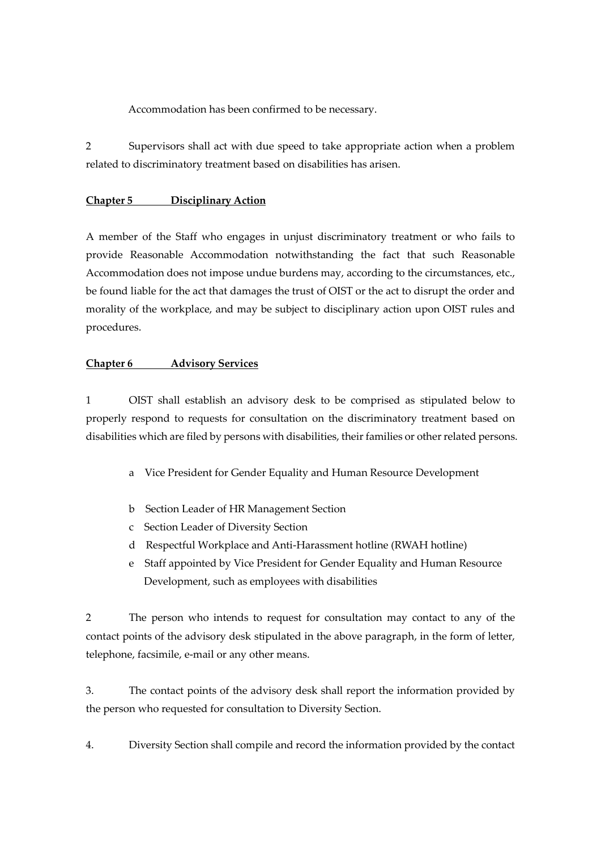Accommodation has been confirmed to be necessary.

2 Supervisors shall act with due speed to take appropriate action when a problem related to discriminatory treatment based on disabilities has arisen.

## **Chapter 5 Disciplinary Action**

A member of the Staff who engages in unjust discriminatory treatment or who fails to provide Reasonable Accommodation notwithstanding the fact that such Reasonable Accommodation does not impose undue burdens may, according to the circumstances, etc., be found liable for the act that damages the trust of OIST or the act to disrupt the order and morality of the workplace, and may be subject to disciplinary action upon OIST rules and procedures.

### **Chapter 6 Advisory Services**

1 OIST shall establish an advisory desk to be comprised as stipulated below to properly respond to requests for consultation on the discriminatory treatment based on disabilities which are filed by persons with disabilities, their families or other related persons.

- a Vice President for Gender Equality and Human Resource Development
- b Section Leader of HR Management Section
- c Section Leader of Diversity Section
- d Respectful Workplace and Anti-Harassment hotline (RWAH hotline)
- e Staff appointed by Vice President for Gender Equality and Human Resource Development, such as employees with disabilities

2 The person who intends to request for consultation may contact to any of the contact points of the advisory desk stipulated in the above paragraph, in the form of letter, telephone, facsimile, e-mail or any other means.

3. The contact points of the advisory desk shall report the information provided by the person who requested for consultation to Diversity Section.

4. Diversity Section shall compile and record the information provided by the contact